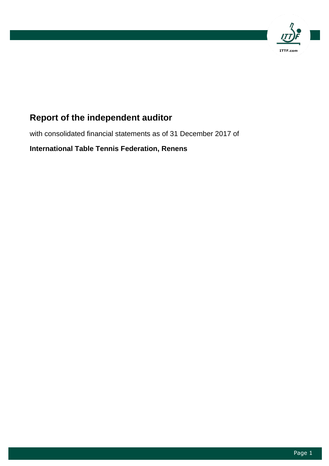

# **Report of the independent auditor**

with consolidated financial statements as of 31 December 2017 of

**International Table Tennis Federation, Renens**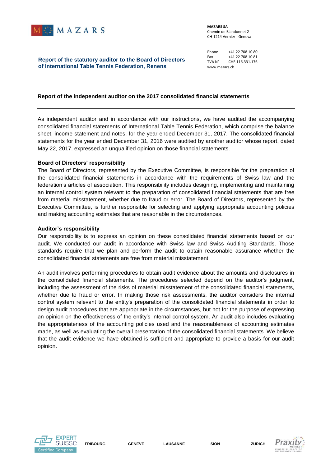

**MAZARS SA** Chemin de Blandonnet 2 CH-1214 Vernier - Geneva

Phone +41 22 708 10 80<br>Fax +41 22 708 10 81 Fax +41 22 708 10 81<br>TVA N° CHE.116.331.176 CHE.116.331.176 www.mazars.ch

## **Report of the statutory auditor to the Board of Directors of International Table Tennis Federation, Renens**

## **Report of the independent auditor on the 2017 consolidated financial statements**

As independent auditor and in accordance with our instructions, we have audited the accompanying consolidated financial statements of International Table Tennis Federation, which comprise the balance sheet, income statement and notes, for the year ended December 31, 2017. The consolidated financial statements for the year ended December 31, 2016 were audited by another auditor whose report, dated May 22, 2017, expressed an unqualified opinion on those financial statements.

#### **Board of Directors' responsibility**

The Board of Directors, represented by the Executive Committee, is responsible for the preparation of the consolidated financial statements in accordance with the requirements of Swiss law and the federation's articles of association. This responsibility includes designing, implementing and maintaining an internal control system relevant to the preparation of consolidated financial statements that are free from material misstatement, whether due to fraud or error. The Board of Directors, represented by the Executive Committee, is further responsible for selecting and applying appropriate accounting policies and making accounting estimates that are reasonable in the circumstances.

#### **Auditor's responsibility**

Our responsibility is to express an opinion on these consolidated financial statements based on our audit. We conducted our audit in accordance with Swiss law and Swiss Auditing Standards. Those standards require that we plan and perform the audit to obtain reasonable assurance whether the consolidated financial statements are free from material misstatement.

An audit involves performing procedures to obtain audit evidence about the amounts and disclosures in the consolidated financial statements. The procedures selected depend on the auditor's judgment, including the assessment of the risks of material misstatement of the consolidated financial statements, whether due to fraud or error. In making those risk assessments, the auditor considers the internal control system relevant to the entity's preparation of the consolidated financial statements in order to design audit procedures that are appropriate in the circumstances, but not for the purpose of expressing an opinion on the effectiveness of the entity's internal control system. An audit also includes evaluating the appropriateness of the accounting policies used and the reasonableness of accounting estimates made, as well as evaluating the overall presentation of the consolidated financial statements. We believe that the audit evidence we have obtained is sufficient and appropriate to provide a basis for our audit opinion.



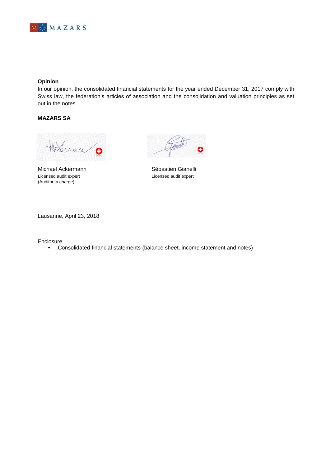

## **Opinion**

In our opinion, the consolidated financial statements for the year ended December 31, 2017 comply with Swiss law, the federation's articles of association and the consolidation and valuation principles as set out in the notes.

# **MAZARS SA**

Holdware Q

Michael Ackermann **Sébastien Gianelli** Licensed audit expert **Licensed audit expert** (Auditor in charge)

Lausanne, April 23, 2018

Enclosure

Consolidated financial statements (balance sheet, income statement and notes)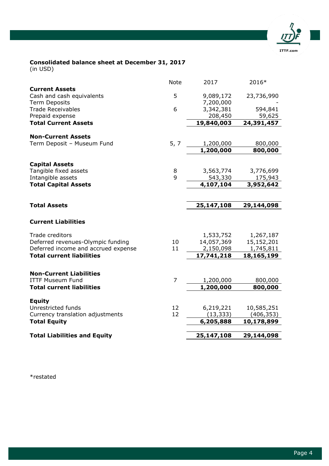

# **Consolidated balance sheet at December 31, 2017**

(in USD)

|                                                | <b>Note</b>  | 2017       | 2016*      |
|------------------------------------------------|--------------|------------|------------|
| <b>Current Assets</b>                          |              |            |            |
| Cash and cash equivalents                      | 5            | 9,089,172  | 23,736,990 |
| <b>Term Deposits</b>                           |              | 7,200,000  |            |
| <b>Trade Receivables</b>                       | 6            | 3,342,381  | 594,841    |
| Prepaid expense                                |              | 208,450    | 59,625     |
| <b>Total Current Assets</b>                    |              | 19,840,003 | 24,391,457 |
| <b>Non-Current Assets</b>                      |              |            |            |
| Term Deposit - Museum Fund                     | 5, 7         | 1,200,000  | 800,000    |
|                                                |              | 1,200,000  | 800,000    |
|                                                |              |            |            |
| <b>Capital Assets</b><br>Tangible fixed assets | 8            | 3,563,774  | 3,776,699  |
| Intangible assets                              | $\mathsf{q}$ | 543,330    | 175,943    |
| <b>Total Capital Assets</b>                    |              | 4,107,104  | 3,952,642  |
|                                                |              |            |            |
|                                                |              |            |            |
| <b>Total Assets</b>                            |              | 25,147,108 | 29,144,098 |
| <b>Current Liabilities</b>                     |              |            |            |
| Trade creditors                                |              | 1,533,752  | 1,267,187  |
| Deferred revenues-Olympic funding              | 10           | 14,057,369 | 15,152,201 |
| Deferred income and accrued expense            | 11           | 2,150,098  | 1,745,811  |
| <b>Total current liabilities</b>               |              | 17,741,218 | 18,165,199 |
|                                                |              |            |            |
| <b>Non-Current Liabilities</b>                 |              |            |            |
| <b>ITTF Museum Fund</b>                        | 7            | 1,200,000  | 800,000    |
| <b>Total current liabilities</b>               |              | 1,200,000  | 800,000    |
| <b>Equity</b>                                  |              |            |            |
| Unrestricted funds                             | 12           | 6,219,221  | 10,585,251 |
| Currency translation adjustments               | 12           | (13, 333)  | (406, 353) |
| <b>Total Equity</b>                            |              | 6,205,888  | 10,178,899 |
| <b>Total Liabilities and Equity</b>            |              | 25,147,108 | 29,144,098 |
|                                                |              |            |            |

\*restated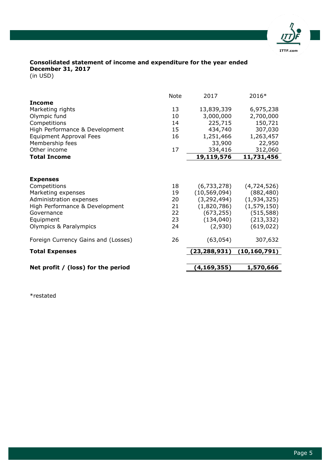

# **Consolidated statement of income and expenditure for the year ended December 31, 2017**

(in USD)

|                                      | <b>Note</b> | 2017           | 2016*          |
|--------------------------------------|-------------|----------------|----------------|
| <b>Income</b>                        |             |                |                |
| Marketing rights                     | 13          | 13,839,339     | 6,975,238      |
| Olympic fund                         | 10          | 3,000,000      | 2,700,000      |
| Competitions                         | 14          | 225,715        | 150,721        |
| High Performance & Development       | 15          | 434,740        | 307,030        |
| Equipment Approval Fees              | 16          | 1,251,466      | 1,263,457      |
| Membership fees                      |             | 33,900         | 22,950         |
| Other income                         | 17          | 334,416        | 312,060        |
| <b>Total Income</b>                  |             | 19,119,576     | 11,731,456     |
|                                      |             |                |                |
| <b>Expenses</b>                      |             |                |                |
| Competitions                         | 18          | (6,733,278)    | (4,724,526)    |
| Marketing expenses                   | 19          | (10, 569, 094) | (882, 480)     |
| Administration expenses              | 20          | (3, 292, 494)  | (1,934,325)    |
| High Performance & Development       | 21          | (1,820,786)    | (1, 579, 150)  |
| Governance                           | 22          | (673, 255)     | (515, 588)     |
| Equipment                            | 23          | (134, 040)     | (213, 332)     |
| Olympics & Paralympics               | 24          | (2,930)        | (619, 022)     |
| Foreign Currency Gains and (Losses)  | 26          | (63, 054)      | 307,632        |
| <b>Total Expenses</b>                |             | (23, 288, 931) | (10, 160, 791) |
|                                      |             |                |                |
| Net profit $/$ (loss) for the period |             | (4, 169, 355)  | 1,570,666      |

\*restated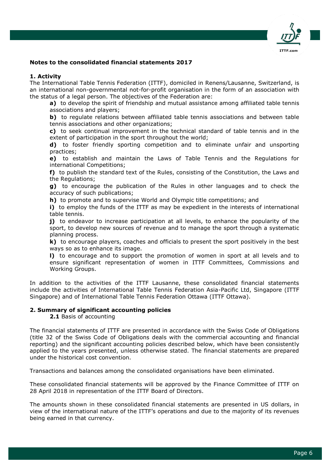

# **Notes to the consolidated financial statements 2017**

#### **1. Activity**

The International Table Tennis Federation (ITTF), domiciled in Renens/Lausanne, Switzerland, is an international non-governmental not-for-profit organisation in the form of an association with the status of a legal person. The objectives of the Federation are:

**a)** to develop the spirit of friendship and mutual assistance among affiliated table tennis associations and players;

**b)** to regulate relations between affiliated table tennis associations and between table tennis associations and other organizations;

**c)** to seek continual improvement in the technical standard of table tennis and in the extent of participation in the sport throughout the world;

**d)** to foster friendly sporting competition and to eliminate unfair and unsporting practices;

**e)** to establish and maintain the Laws of Table Tennis and the Regulations for international Competitions;

**f)** to publish the standard text of the Rules, consisting of the Constitution, the Laws and the Regulations;

**g)** to encourage the publication of the Rules in other languages and to check the accuracy of such publications;

**h)** to promote and to supervise World and Olympic title competitions; and

**i)** to employ the funds of the ITTF as may be expedient in the interests of international table tennis.

**j)** to endeavor to increase participation at all levels, to enhance the popularity of the sport, to develop new sources of revenue and to manage the sport through a systematic planning process.

**k)** to encourage players, coaches and officials to present the sport positively in the best ways so as to enhance its image.

**l)** to encourage and to support the promotion of women in sport at all levels and to ensure significant representation of women in ITTF Committees, Commissions and Working Groups.

In addition to the activities of the ITTF Lausanne, these consolidated financial statements include the activities of International Table Tennis Federation Asia-Pacific Ltd, Singapore (ITTF Singapore) and of International Table Tennis Federation Ottawa (ITTF Ottawa).

## **2. Summary of significant accounting policies**

**2.1** Basis of accounting

The financial statements of ITTF are presented in accordance with the Swiss Code of Obligations (title 32 of the Swiss Code of Obligations deals with the commercial accounting and financial reporting) and the significant accounting policies described below, which have been consistently applied to the years presented, unless otherwise stated. The financial statements are prepared under the historical cost convention.

Transactions and balances among the consolidated organisations have been eliminated.

These consolidated financial statements will be approved by the Finance Committee of ITTF on 28 April 2018 in representation of the ITTF Board of Directors.

The amounts shown in these consolidated financial statements are presented in US dollars, in view of the international nature of the ITTF's operations and due to the majority of its revenues being earned in that currency.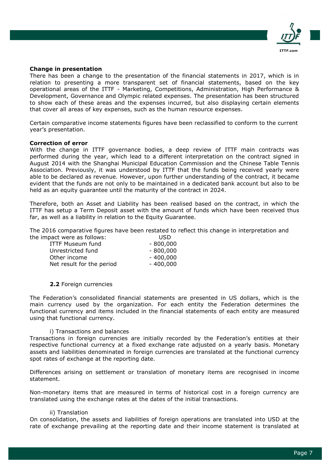

#### **Change in presentation**

There has been a change to the presentation of the financial statements in 2017, which is in relation to presenting a more transparent set of financial statements, based on the key operational areas of the ITTF - Marketing, Competitions, Administration, High Performance & Development, Governance and Olympic related expenses. The presentation has been structured to show each of these areas and the expenses incurred, but also displaying certain elements that cover all areas of key expenses, such as the human resource expenses.

Certain comparative income statements figures have been reclassified to conform to the current year's presentation.

## **Correction of error**

With the change in ITTF governance bodies, a deep review of ITTF main contracts was performed during the year, which lead to a different interpretation on the contract signed in August 2014 with the Shanghai Municipal Education Commission and the Chinese Table Tennis Association. Previously, it was understood by ITTF that the funds being received yearly were able to be declared as revenue. However, upon further understanding of the contract, it became evident that the funds are not only to be maintained in a dedicated bank account but also to be held as an equity guarantee until the maturity of the contract in 2024.

Therefore, both an Asset and Liability has been realised based on the contract, in which the ITTF has setup a Term Deposit asset with the amount of funds which have been received thus far, as well as a liability in relation to the Equity Guarantee.

The 2016 comparative figures have been restated to reflect this change in interpretation and the impact were as follows: USD

| - 800,000  |
|------------|
| $-800,000$ |
| $-400,000$ |
| $-400,000$ |
|            |

#### **2.2** Foreign currencies

The Federation's consolidated financial statements are presented in US dollars, which is the main currency used by the organization. For each entity the Federation determines the functional currency and items included in the financial statements of each entity are measured using that functional currency.

#### i) Transactions and balances

Transactions in foreign currencies are initially recorded by the Federation's entities at their respective functional currency at a fixed exchange rate adjusted on a yearly basis. Monetary assets and liabilities denominated in foreign currencies are translated at the functional currency spot rates of exchange at the reporting date.

Differences arising on settlement or translation of monetary items are recognised in income statement.

Non-monetary items that are measured in terms of historical cost in a foreign currency are translated using the exchange rates at the dates of the initial transactions.

#### ii) Translation

On consolidation, the assets and liabilities of foreign operations are translated into USD at the rate of exchange prevailing at the reporting date and their income statement is translated at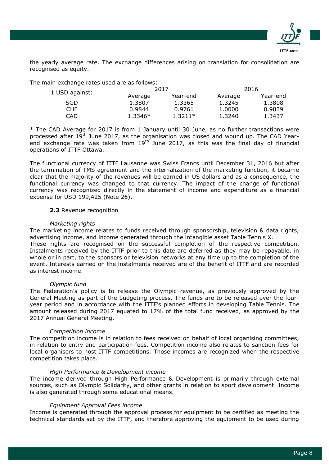

the yearly average rate. The exchange differences arising on translation for consolidation are recognised as equity.

The main exchange rates used are as follows:

| 1 USD against: |           | 2017      |         | 2016     |
|----------------|-----------|-----------|---------|----------|
|                | Average   | Year-end  | Average | Year-end |
| <b>SGD</b>     | 1.3807    | 1.3365    | 1.3245  | 1.3808   |
| CHF.           | 0.9844    | 0.9761    | 1.0000  | 0.9839   |
| CAD            | $1.3346*$ | $1.3211*$ | 1.3240  | 1.3437   |

\* The CAD Average for 2017 is from 1 January until 30 June, as no further transactions were processed after  $19<sup>th</sup>$  June 2017, as the organisation was closed and wound up. The CAD Yearend exchange rate was taken from  $19<sup>th</sup>$  June 2017, as this was the final day of financial operations of ITTF Ottawa.

The functional currency of ITTF Lausanne was Swiss Francs until December 31, 2016 but after the termination of TMS agreement and the internalization of the marketing function, it became clear that the majority of the revenues will be earned in US dollars and as a consequence, the functional currency was changed to that currency. The impact of the change of functional currency was recognized directly in the statement of income and expenditure as a financial expense for USD 199,425 (Note 26).

# **2.3** Revenue recognition

# *Marketing rights*

The marketing income relates to funds received through sponsorship, television & data rights, advertising income, and income generated through the intangible asset Table Tennis X.

These rights are recognised on the successful completion of the respective competition. Instalments received by the ITTF prior to this date are deferred as they may be repayable, in whole or in part, to the sponsors or television networks at any time up to the completion of the event. Interests earned on the instalments received are of the benefit of ITTF and are recorded as interest income.

#### *Olympic fund*

The Federation's policy is to release the Olympic revenue, as previously approved by the General Meeting as part of the budgeting process. The funds are to be released over the fouryear period and in accordance with the ITTF's planned efforts in developing Table Tennis. The amount released during 2017 equated to 17% of the total fund received, as approved by the 2017 Annual General Meeting.

# *Competition income*

The competition income is in relation to fees received on behalf of local organising committees, in relation to entry and participation fees. Competition income also relates to sanction fees for local organisers to host ITTF competitions. Those incomes are recognized when the respective competition takes place.

#### *High Performance & Development income*

The income derived through High Performance & Development is primarily through external sources, such as Olympic Solidarity, and other grants in relation to sport development. Income is also generated through some educational means.

#### *Equipment Approval Fees income*

Income is generated through the approval process for equipment to be certified as meeting the technical standards set by the ITTF, and therefore approving the equipment to be used during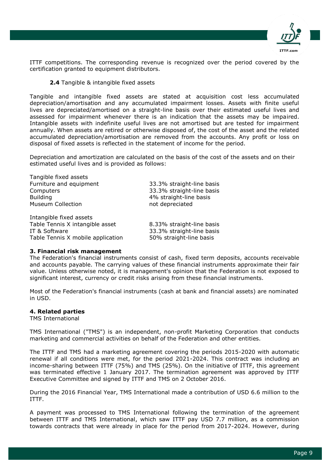

ITTF competitions. The corresponding revenue is recognized over the period covered by the certification granted to equipment distributors.

## **2.4** Tangible & intangible fixed assets

Tangible and intangible fixed assets are stated at acquisition cost less accumulated depreciation/amortisation and any accumulated impairment losses. Assets with finite useful lives are depreciated/amortised on a straight-line basis over their estimated useful lives and assessed for impairment whenever there is an indication that the assets may be impaired. Intangible assets with indefinite useful lives are not amortised but are tested for impairment annually. When assets are retired or otherwise disposed of, the cost of the asset and the related accumulated depreciation/amortisation are removed from the accounts. Any profit or loss on disposal of fixed assets is reflected in the statement of income for the period.

Depreciation and amortization are calculated on the basis of the cost of the assets and on their estimated useful lives and is provided as follows:

| Tangible fixed assets             |                           |
|-----------------------------------|---------------------------|
| Furniture and equipment           | 33.3% straight-line basis |
| Computers                         | 33.3% straight-line basis |
| <b>Building</b>                   | 4% straight-line basis    |
| <b>Museum Collection</b>          | not depreciated           |
| Intangible fixed assets           |                           |
| Table Tennis X intangible asset   | 8.33% straight-line basis |
| IT & Software                     | 33.3% straight-line basis |
| Table Tennis X mobile application | 50% straight-line basis   |

#### **3. Financial risk management**

The Federation's financial instruments consist of cash, fixed term deposits, accounts receivable and accounts payable. The carrying values of these financial instruments approximate their fair value. Unless otherwise noted, it is management's opinion that the Federation is not exposed to significant interest, currency or credit risks arising from these financial instruments.

Most of the Federation's financial instruments (cash at bank and financial assets) are nominated in USD.

#### **4. Related parties**

TMS International

TMS International ("TMS") is an independent, non-profit Marketing Corporation that conducts marketing and commercial activities on behalf of the Federation and other entities.

The ITTF and TMS had a marketing agreement covering the periods 2015-2020 with automatic renewal if all conditions were met, for the period 2021-2024. This contract was including an income-sharing between ITTF (75%) and TMS (25%). On the initiative of ITTF, this agreement was terminated effective 1 January 2017. The termination agreement was approved by ITTF Executive Committee and signed by ITTF and TMS on 2 October 2016.

During the 2016 Financial Year, TMS International made a contribution of USD 6.6 million to the ITTF.

A payment was processed to TMS International following the termination of the agreement between ITTF and TMS International, which saw ITTF pay USD 7.7 million, as a commission towards contracts that were already in place for the period from 2017-2024. However, during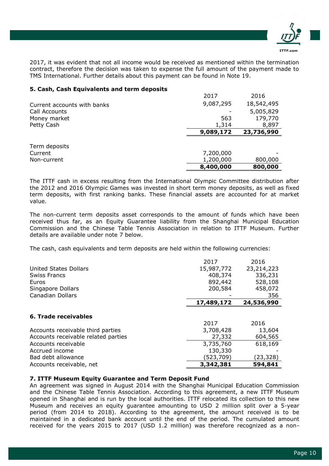

2017, it was evident that not all income would be received as mentioned within the termination contract, therefore the decision was taken to expense the full amount of the payment made to TMS International. Further details about this payment can be found in Note 19.

# **5. Cash, Cash Equivalents and term deposits**

|                             | 2017      | 2016       |
|-----------------------------|-----------|------------|
| Current accounts with banks | 9,087,295 | 18,542,495 |
| Call Accounts               |           | 5,005,829  |
| Money market                | 563       | 179,770    |
| Petty Cash                  | 1,314     | 8,897      |
|                             | 9,089,172 | 23,736,990 |
|                             |           |            |
| Term deposits               |           |            |
| Current                     | 7,200,000 |            |
| Non-current                 | 1,200,000 | 800,000    |
|                             | 8,400,000 | 800,000    |

The ITTF cash in excess resulting from the International Olympic Committee distribution after the 2012 and 2016 Olympic Games was invested in short term money deposits, as well as fixed term deposits, with first ranking banks. These financial assets are accounted for at market value.

The non-current term deposits asset corresponds to the amount of funds which have been received thus far, as an Equity Guarantee liability from the Shanghai Municipal Education Commission and the Chinese Table Tennis Association in relation to ITTF Museum. Further details are available under note 7 below.

The cash, cash equivalents and term deposits are held within the following currencies:

|                                     | 2017       | 2016       |
|-------------------------------------|------------|------------|
| <b>United States Dollars</b>        | 15,987,772 | 23,214,223 |
| <b>Swiss Francs</b>                 | 408,374    | 336,231    |
| Euros                               | 892,442    | 528,108    |
| Singapore Dollars                   | 200,584    | 458,072    |
| <b>Canadian Dollars</b>             |            | 356        |
|                                     | 17,489,172 | 24,536,990 |
| 6. Trade receivables                |            |            |
|                                     | 2017       | 2016       |
| Accounts receivable third parties   | 3,708,428  | 13,604     |
| Accounts receivable related parties | 27,332     | 604,565    |
| Accounts receivable                 | 3,735,760  | 618,169    |
| Accrued income                      | 130,330    |            |
| Bad debt allowance                  | (523,709)  | (23, 328)  |
| Accounts receivable, net            | 3,342,381  | 594,841    |

# **7. ITTF Museum Equity Guarantee and Term Deposit Fund**

An agreement was signed in August 2014 with the Shanghai Municipal Education Commission and the Chinese Table Tennis Association. According to this agreement, a new ITTF Museum opened in Shanghai and is run by the local authorities. ITTF relocated its collection to this new Museum and receives an equity guarantee amounting to USD 2 million split over a 5-year period (from 2014 to 2018). According to the agreement, the amount received is to be maintained in a dedicated bank account until the end of the period. The cumulated amount received for the years 2015 to 2017 (USD 1.2 million) was therefore recognized as a non-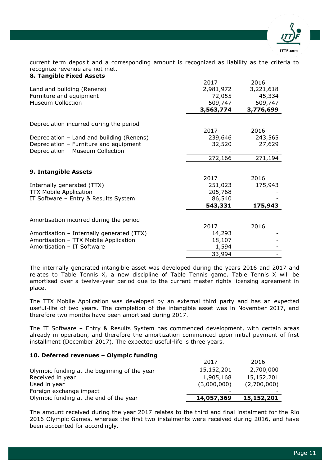

current term deposit and a corresponding amount is recognized as liability as the criteria to recognize revenue are not met. **8. Tangible Fixed Assets**

| 0. . angibit i iktu Asstits               |           |           |
|-------------------------------------------|-----------|-----------|
|                                           | 2017      | 2016      |
| Land and building (Renens)                | 2,981,972 | 3,221,618 |
| Furniture and equipment                   | 72,055    | 45,334    |
| <b>Museum Collection</b>                  | 509,747   | 509,747   |
|                                           | 3,563,774 | 3,776,699 |
| Depreciation incurred during the period   |           |           |
|                                           | 2017      | 2016      |
| Depreciation – Land and building (Renens) | 239,646   | 243,565   |
| Depreciation - Furniture and equipment    | 32,520    | 27,629    |
| Depreciation - Museum Collection          |           |           |
|                                           | 272,166   | 271,194   |
|                                           |           |           |
| 9. Intangible Assets                      |           |           |
|                                           | 2017      | 2016      |
| Internally generated (TTX)                | 251,023   | 175,943   |
| <b>TTX Mobile Application</b>             | 205,768   |           |
| IT Software - Entry & Results System      | 86,540    |           |
|                                           | 543,331   | 175,943   |
|                                           |           |           |
| Amortisation incurred during the period   |           |           |
|                                           | 2017      | 2016      |
| Amortisation - Internally generated (TTX) | 14,293    |           |
| Amortisation - TTX Mobile Application     | 18,107    |           |
| Amortisation - IT Software                | 1,594     |           |
|                                           | 33,994    |           |

The internally generated intangible asset was developed during the years 2016 and 2017 and relates to Table Tennis X, a new discipline of Table Tennis game. Table Tennis X will be amortised over a twelve-year period due to the current master rights licensing agreement in place.

The TTX Mobile Application was developed by an external third party and has an expected useful-life of two years. The completion of the intangible asset was in November 2017, and therefore two months have been amortised during 2017.

The IT Software – Entry & Results System has commenced development, with certain areas already in operation, and therefore the amortization commenced upon initial payment of first installment (December 2017). The expected useful-life is three years.

# **10. Deferred revenues – Olympic funding**

| Olympic funding at the end of the year       | 14,057,369  | 15,152,201  |
|----------------------------------------------|-------------|-------------|
| Foreign exchange impact                      |             |             |
| Used in year                                 | (3,000,000) | (2,700,000) |
| Received in year                             | 1,905,168   | 15,152,201  |
| Olympic funding at the beginning of the year | 15,152,201  | 2,700,000   |
|                                              | 2017        | 2016        |

The amount received during the year 2017 relates to the third and final instalment for the Rio 2016 Olympic Games, whereas the first two instalments were received during 2016, and have been accounted for accordingly.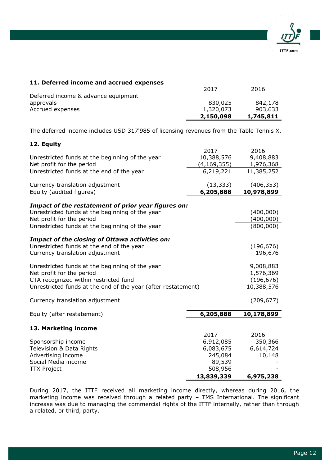

|                                                                                         | 2017        | 2016       |
|-----------------------------------------------------------------------------------------|-------------|------------|
| Deferred income & advance equipment                                                     |             |            |
| approvals                                                                               | 830,025     | 842,178    |
| Accrued expenses                                                                        | 1,320,073   | 903,633    |
|                                                                                         | 2,150,098   | 1,745,811  |
|                                                                                         |             |            |
| The deferred income includes USD 317'985 of licensing revenues from the Table Tennis X. |             |            |
| 12. Equity                                                                              |             |            |
|                                                                                         | 2017        | 2016       |
| Unrestricted funds at the beginning of the year                                         | 10,388,576  | 9,408,883  |
| Net profit for the period                                                               | (4,169,355) | 1,976,368  |
| Unrestricted funds at the end of the year                                               | 6,219,221   | 11,385,252 |
| Currency translation adjustment                                                         | (13, 333)   | (406, 353) |
| Equity (audited figures)                                                                | 6,205,888   | 10,978,899 |
|                                                                                         |             |            |
| Impact of the restatement of prior year figures on:                                     |             |            |
| Unrestricted funds at the beginning of the year                                         |             | (400,000)  |
| Net profit for the period                                                               |             | (400, 000) |
| Unrestricted funds at the beginning of the year                                         |             | (800,000)  |
| Impact of the closing of Ottawa activities on:                                          |             |            |
| Unrestricted funds at the end of the year                                               |             | (196, 676) |
| Currency translation adjustment                                                         |             | 196,676    |
|                                                                                         |             |            |
| Unrestricted funds at the beginning of the year                                         |             | 9,008,883  |
| Net profit for the period                                                               |             | 1,576,369  |
| CTA recognized within restricted fund                                                   |             | (196, 676) |
| Unrestricted funds at the end of the year (after restatement)                           |             | 10,388,576 |
|                                                                                         |             |            |
| Currency translation adjustment                                                         |             | (209, 677) |
| Equity (after restatement)                                                              | 6,205,888   | 10,178,899 |
|                                                                                         |             |            |
| 13. Marketing income                                                                    |             |            |
|                                                                                         | 2017        | 2016       |
| Sponsorship income                                                                      | 6,912,085   | 350,366    |
| Television & Data Rights                                                                | 6,083,675   | 6,614,724  |
| Advertising income                                                                      | 245,084     | 10,148     |
| Social Media income                                                                     | 89,539      |            |
| <b>TTX Project</b>                                                                      | 508,956     |            |
|                                                                                         | 13,839,339  | 6,975,238  |

**11. Deferred income and accrued expenses**

During 2017, the ITTF received all marketing income directly, whereas during 2016, the marketing income was received through a related party – TMS International. The significant increase was due to managing the commercial rights of the ITTF internally, rather than through a related, or third, party.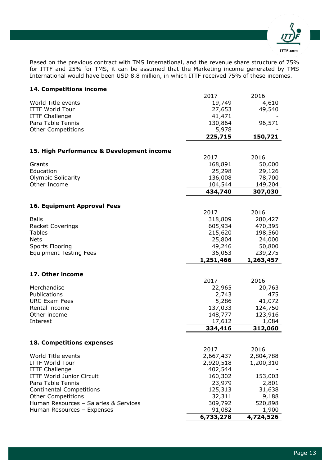

Based on the previous contract with TMS International, and the revenue share structure of 75% for ITTF and 25% for TMS, it can be assumed that the Marketing income generated by TMS International would have been USD 8.8 million, in which ITTF received 75% of these incomes.

# **14. Competitions income**

|                                           | 2017                | 2016               |
|-------------------------------------------|---------------------|--------------------|
| World Title events                        | 19,749              | 4,610              |
| <b>ITTF World Tour</b>                    | 27,653              | 49,540             |
| <b>ITTF Challenge</b>                     | 41,471              |                    |
| Para Table Tennis                         | 130,864             | 96,571             |
| <b>Other Competitions</b>                 | 5,978               |                    |
|                                           | 225,715             | 150,721            |
|                                           |                     |                    |
| 15. High Performance & Development income | 2017                | 2016               |
| Grants                                    | 168,891             | 50,000             |
| Education                                 | 25,298              | 29,126             |
| <b>Olympic Solidarity</b>                 | 136,008             | 78,700             |
| Other Income                              | 104,544             | 149,204            |
|                                           | 434,740             | 307,030            |
|                                           |                     |                    |
| 16. Equipment Approval Fees               | 2017                | 2016               |
| <b>Balls</b>                              | 318,809             | 280,427            |
| <b>Racket Coverings</b>                   | 605,934             | 470,395            |
| <b>Tables</b>                             | 215,620             | 198,560            |
| <b>Nets</b>                               | 25,804              | 24,000             |
| Sports Flooring                           | 49,246              | 50,800             |
| <b>Equipment Testing Fees</b>             | 36,053              | 239,275            |
|                                           |                     |                    |
|                                           |                     |                    |
|                                           | 1,251,466           | 1,263,457          |
| 17. Other income                          |                     |                    |
|                                           | 2017                | 2016               |
| Merchandise                               | 22,965              | 20,763             |
| Publications                              | 2,743               | 475                |
| <b>URC Exam Fees</b>                      | 5,286               | 41,072             |
| Rental income                             | 137,033             | 124,750            |
| Other income                              | 148,777             | 123,916            |
| Interest                                  | 17,612              | 1,084              |
|                                           | 334,416             | 312,060            |
| 18. Competitions expenses                 |                     |                    |
|                                           | 2017                | 2016               |
| World Title events                        | 2,667,437           | 2,804,788          |
| <b>ITTF World Tour</b>                    | 2,920,518           | 1,200,310          |
| <b>ITTF Challenge</b>                     | 402,544             |                    |
| <b>ITTF World Junior Circuit</b>          | 160,302             | 153,003            |
| Para Table Tennis                         | 23,979              | 2,801              |
| <b>Continental Competitions</b>           | 125,313             | 31,638             |
| <b>Other Competitions</b>                 | 32,311              | 9,188              |
| Human Resources - Salaries & Services     | 309,792             | 520,898            |
| Human Resources - Expenses                | 91,082<br>6,733,278 | 1,900<br>4,724,526 |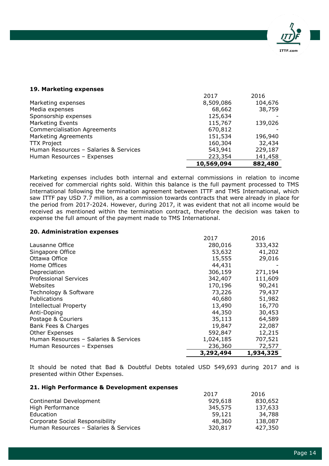

# **19. Marketing expenses**

|                                       | 10,569,094 | 882,480 |
|---------------------------------------|------------|---------|
| Human Resources - Expenses            | 223,354    | 141,458 |
| Human Resources - Salaries & Services | 543,941    | 229,187 |
| <b>TTX Project</b>                    | 160,304    | 32,434  |
| Marketing Agreements                  | 151,534    | 196,940 |
| <b>Commercialisation Agreements</b>   | 670,812    |         |
| <b>Marketing Events</b>               | 115,767    | 139,026 |
| Sponsorship expenses                  | 125,634    |         |
| Media expenses                        | 68,662     | 38,759  |
| Marketing expenses                    | 8,509,086  | 104,676 |
|                                       | 2017       | 2016    |

Marketing expenses includes both internal and external commissions in relation to income received for commercial rights sold. Within this balance is the full payment processed to TMS International following the termination agreement between ITTF and TMS International, which saw ITTF pay USD 7.7 million, as a commission towards contracts that were already in place for the period from 2017-2024. However, during 2017, it was evident that not all income would be received as mentioned within the termination contract, therefore the decision was taken to expense the full amount of the payment made to TMS International.

## **20. Administration expenses**

|                                       | 2017      | 2016      |
|---------------------------------------|-----------|-----------|
| Lausanne Office                       | 280,016   | 333,432   |
| Singapore Office                      | 53,632    | 41,202    |
| Ottawa Office                         | 15,555    | 29,016    |
| Home Offices                          | 44,431    |           |
| Depreciation                          | 306,159   | 271,194   |
| <b>Professional Services</b>          | 342,407   | 111,609   |
| Websites                              | 170,196   | 90,241    |
| Technology & Software                 | 73,226    | 79,437    |
| Publications                          | 40,680    | 51,982    |
| <b>Intellectual Property</b>          | 13,490    | 16,770    |
| Anti-Doping                           | 44,350    | 30,453    |
| Postage & Couriers                    | 35,113    | 64,589    |
| Bank Fees & Charges                   | 19,847    | 22,087    |
| Other Expenses                        | 592,847   | 12,215    |
| Human Resources - Salaries & Services | 1,024,185 | 707,521   |
| Human Resources - Expenses            | 236,360   | 72,577    |
|                                       | 3,292,494 | 1,934,325 |

It should be noted that Bad & Doubtful Debts totaled USD 549,693 during 2017 and is presented within Other Expenses.

#### **21. High Performance & Development expenses**

|                                       | 2017    | 2016    |
|---------------------------------------|---------|---------|
| Continental Development               | 929,618 | 830,652 |
| High Performance                      | 345,575 | 137,633 |
| Education                             | 59,121  | 34,788  |
| Corporate Social Responsibility       | 48,360  | 138,087 |
| Human Resources - Salaries & Services | 320,817 | 427,350 |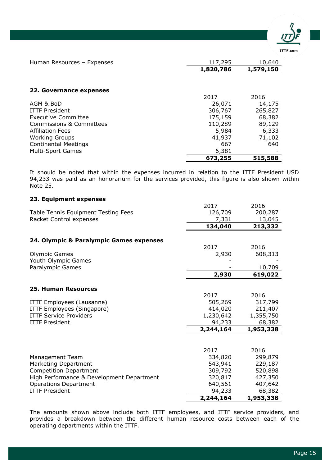

| Human Resources - Expenses          | 117,295   | 10,640    |
|-------------------------------------|-----------|-----------|
|                                     | 1,820,786 | 1,579,150 |
|                                     |           |           |
| 22. Governance expenses             |           |           |
|                                     | 2017      | 2016      |
| AGM & BoD                           | 26,071    | 14,175    |
| <b>ITTF President</b>               | 306,767   | 265,827   |
| Executive Committee                 | 175,159   | 68,382    |
| <b>Commissions &amp; Committees</b> | 110,289   | 89,129    |
| <b>Affiliation Fees</b>             | 5,984     | 6,333     |
| <b>Working Groups</b>               | 41,937    | 71,102    |
| <b>Continental Meetings</b>         | 667       | 640       |
| <b>Multi-Sport Games</b>            | 6,381     |           |
|                                     | 673,255   | 515,588   |

It should be noted that within the expenses incurred in relation to the ITTF President USD 94,233 was paid as an honorarium for the services provided, this figure is also shown within Note 25.

# **23. Equipment expenses** 2017 2016 Table Tennis Equipment Testing Fees 126,709 200,287<br>Racket Control expenses 13,045 7,331 13,045 Racket Control expenses 7,331  **134,040 213,332 24. Olympic & Paralympic Games expenses** 2017 2016 Olympic Games 2,930 608,313 Youth Olympic Games Paralympic Games **and Solution** Contract the Contract of the Contract of the Contract of the Contract of the Contract of the Contract of the Contract of the Contract of the Contract of the Contract of the Contract of the C  **2,930 619,022 25. Human Resources** 2017 2016 ITTF Employees (Lausanne) 505,269 317,799 ITTF Employees (Singapore) 414,020 211,407 ITTF Service Providers 2008 1,230,642 1,355,750 ITTF President 94,233 68,382  **2,244,164 1,953,338** 2017 2016 Management Team 334,820 299,879 Marketing Department 1990 129,187 129,187 Competition Department 309,792 520,898 High Performance & Development Department 320,817 427,350 Operations Department 640,561 407,642 ITTF President 94,233 68,382  **2,244,164 1,953,338**

The amounts shown above include both ITTF employees, and ITTF service providers, and provides a breakdown between the different human resource costs between each of the operating departments within the ITTF.